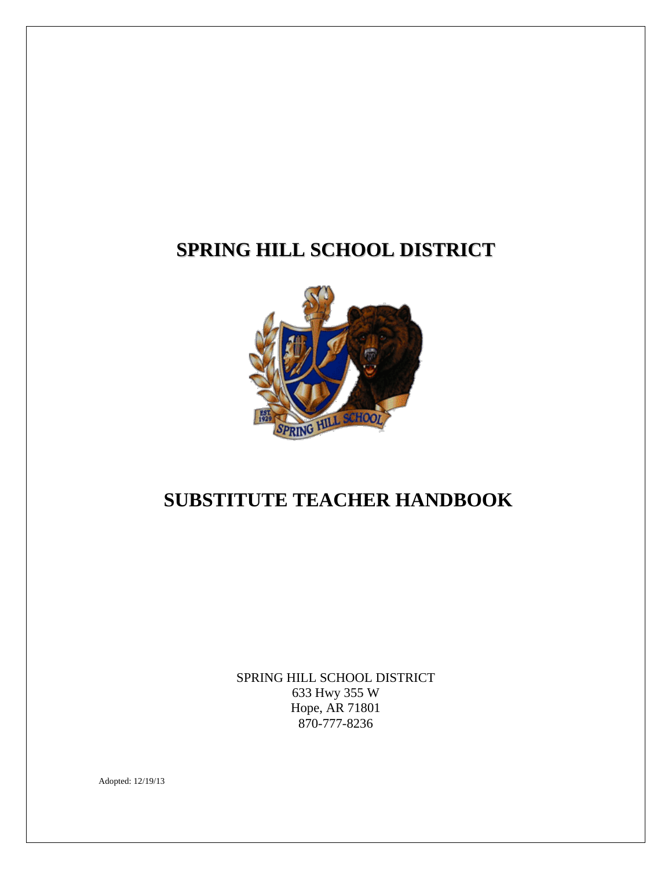# **SPRING HILL SCHOOL DISTRICT**



## **SUBSTITUTE TEACHER HANDBOOK**

SPRING HILL SCHOOL DISTRICT 633 Hwy 355 W Hope, AR 71801 870-777-8236

Adopted: 12/19/13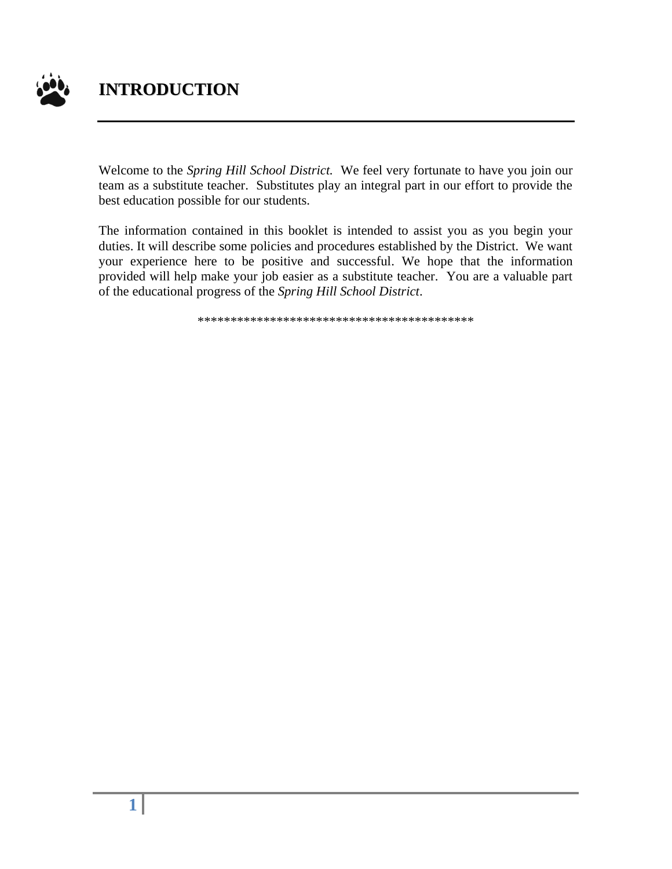

### **INTRODUCTION**

Welcome to the *Spring Hill School District.* We feel very fortunate to have you join our team as a substitute teacher. Substitutes play an integral part in our effort to provide the best education possible for our students.

The information contained in this booklet is intended to assist you as you begin your duties. It will describe some policies and procedures established by the District. We want your experience here to be positive and successful. We hope that the information provided will help make your job easier as a substitute teacher. You are a valuable part of the educational progress of the *Spring Hill School District*.

\*\*\*\*\*\*\*\*\*\*\*\*\*\*\*\*\*\*\*\*\*\*\*\*\*\*\*\*\*\*\*\*\*\*\*\*\*\*\*\*\*\*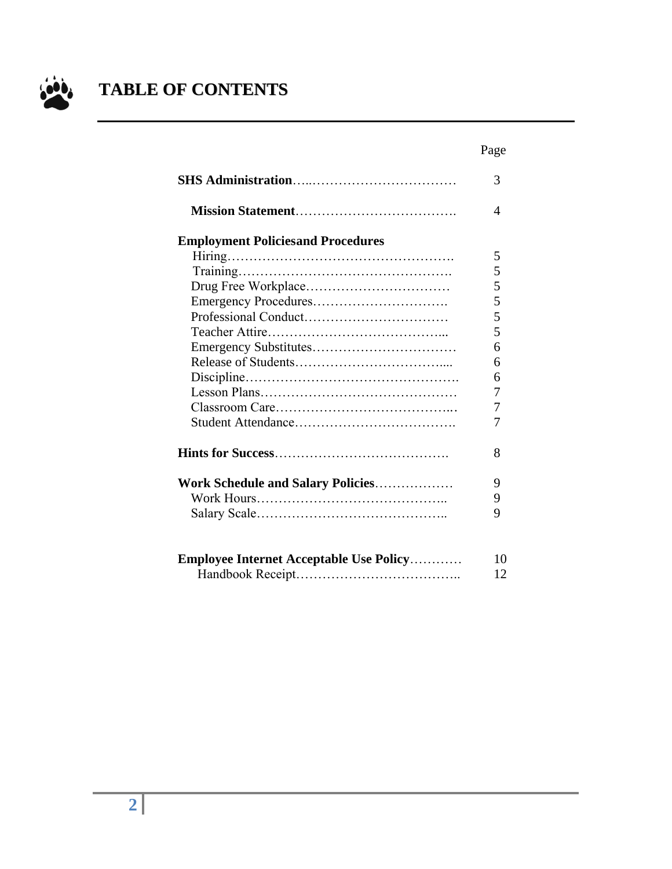

# **TABLE OF CONTENTS**

|                                                | Page |
|------------------------------------------------|------|
|                                                | 3    |
|                                                | 4    |
| <b>Employment Policiesand Procedures</b>       |      |
|                                                | 5    |
|                                                | 5    |
|                                                | 5    |
|                                                | 5    |
|                                                | 5    |
|                                                | 5    |
|                                                | 6    |
|                                                | 6    |
|                                                | 6    |
|                                                | 7    |
|                                                | 7    |
|                                                | 7    |
|                                                | 8    |
| Work Schedule and Salary Policies              | 9    |
|                                                | 9    |
|                                                | 9    |
| <b>Employee Internet Acceptable Use Policy</b> | 10   |
|                                                | 12   |
|                                                |      |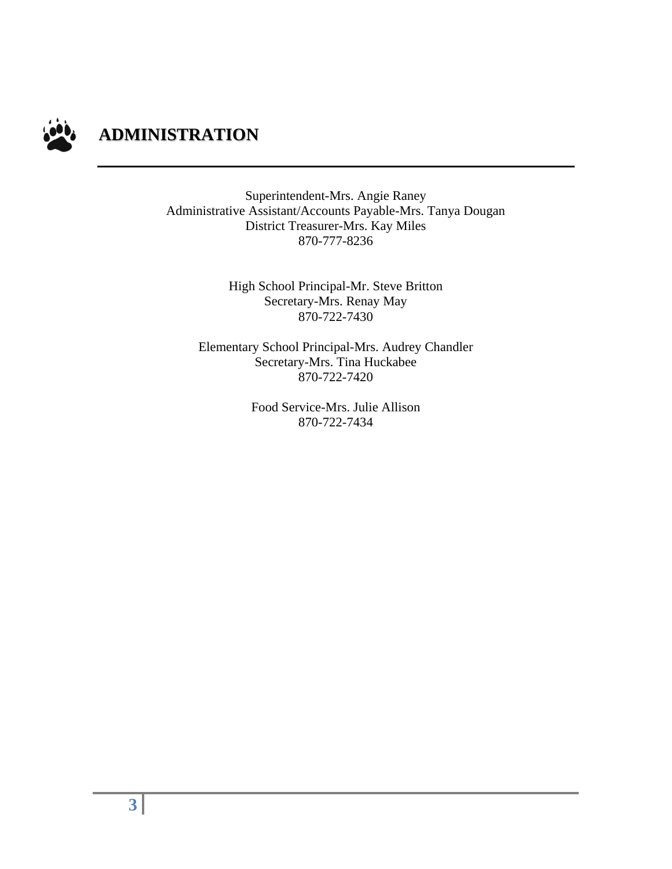

Superintendent-Mrs. Angie Raney Administrative Assistant/Accounts Payable-Mrs. Tanya Dougan District Treasurer-Mrs. Kay Miles 870-777-8236

> High School Principal-Mr. Steve Britton Secretary-Mrs. Renay May 870-722-7430

Elementary School Principal-Mrs. Audrey Chandler Secretary-Mrs. Tina Huckabee 870-722-7420

> Food Service-Mrs. Julie Allison 870-722-7434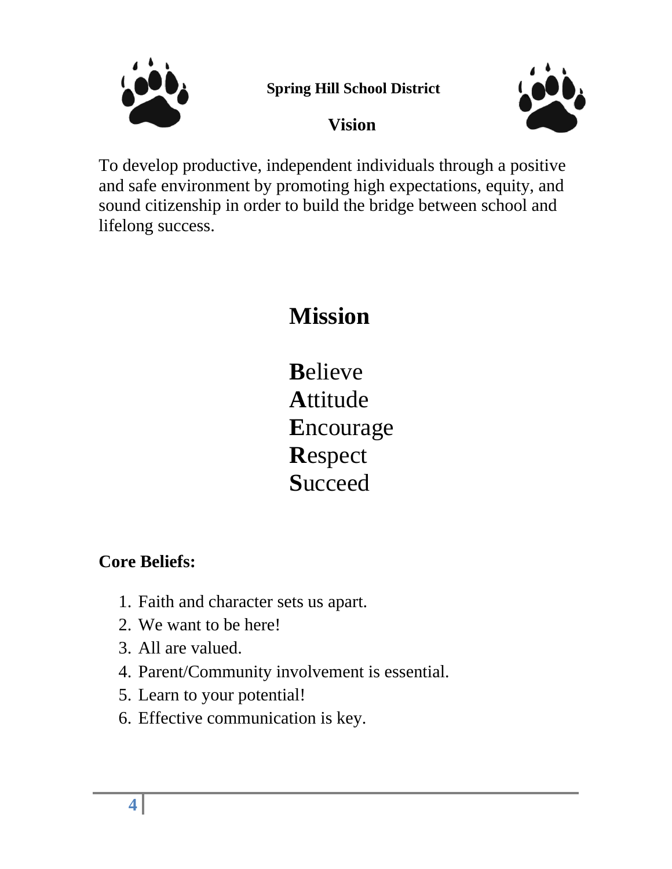

**Spring Hill School District**





To develop productive, independent individuals through a positive and safe environment by promoting high expectations, equity, and sound citizenship in order to build the bridge between school and lifelong success.

# **Mission**

**B**elieve **A**ttitude **E**ncourage **R**espect **S**ucceed

## **Core Beliefs:**

- 1. Faith and character sets us apart.
- 2. We want to be here!
- 3. All are valued.
- 4. Parent/Community involvement is essential.
- 5. Learn to your potential!
- 6. Effective communication is key.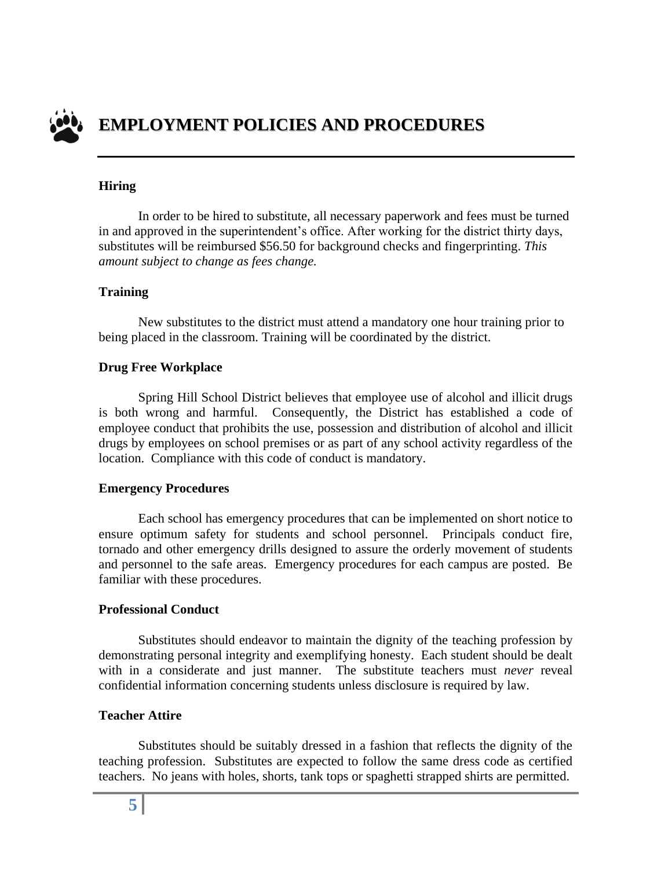

#### **Hiring**

In order to be hired to substitute, all necessary paperwork and fees must be turned in and approved in the superintendent's office. After working for the district thirty days, substitutes will be reimbursed \$56.50 for background checks and fingerprinting. *This amount subject to change as fees change.*

#### **Training**

New substitutes to the district must attend a mandatory one hour training prior to being placed in the classroom. Training will be coordinated by the district.

#### **Drug Free Workplace**

Spring Hill School District believes that employee use of alcohol and illicit drugs is both wrong and harmful. Consequently, the District has established a code of employee conduct that prohibits the use, possession and distribution of alcohol and illicit drugs by employees on school premises or as part of any school activity regardless of the location. Compliance with this code of conduct is mandatory.

#### **Emergency Procedures**

Each school has emergency procedures that can be implemented on short notice to ensure optimum safety for students and school personnel. Principals conduct fire, tornado and other emergency drills designed to assure the orderly movement of students and personnel to the safe areas. Emergency procedures for each campus are posted. Be familiar with these procedures.

#### **Professional Conduct**

Substitutes should endeavor to maintain the dignity of the teaching profession by demonstrating personal integrity and exemplifying honesty. Each student should be dealt with in a considerate and just manner. The substitute teachers must *never* reveal confidential information concerning students unless disclosure is required by law.

#### **Teacher Attire**

Substitutes should be suitably dressed in a fashion that reflects the dignity of the teaching profession. Substitutes are expected to follow the same dress code as certified teachers. No jeans with holes, shorts, tank tops or spaghetti strapped shirts are permitted.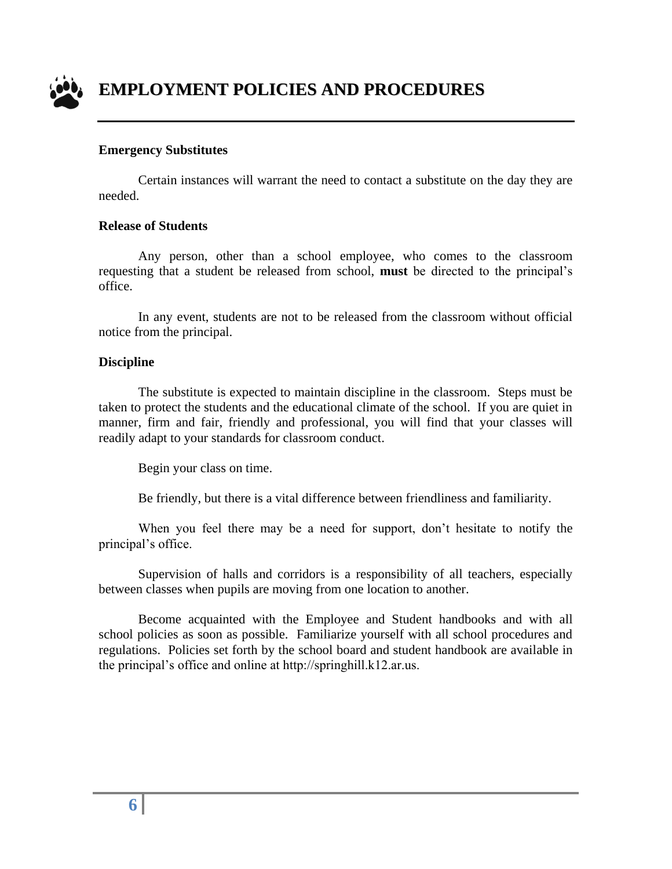

#### **Emergency Substitutes**

Certain instances will warrant the need to contact a substitute on the day they are needed.

#### **Release of Students**

Any person, other than a school employee, who comes to the classroom requesting that a student be released from school, **must** be directed to the principal's office.

In any event, students are not to be released from the classroom without official notice from the principal.

#### **Discipline**

The substitute is expected to maintain discipline in the classroom. Steps must be taken to protect the students and the educational climate of the school. If you are quiet in manner, firm and fair, friendly and professional, you will find that your classes will readily adapt to your standards for classroom conduct.

Begin your class on time.

Be friendly, but there is a vital difference between friendliness and familiarity.

When you feel there may be a need for support, don't hesitate to notify the principal's office.

Supervision of halls and corridors is a responsibility of all teachers, especially between classes when pupils are moving from one location to another.

Become acquainted with the Employee and Student handbooks and with all school policies as soon as possible. Familiarize yourself with all school procedures and regulations. Policies set forth by the school board and student handbook are available in the principal's office and online at http://springhill.k12.ar.us.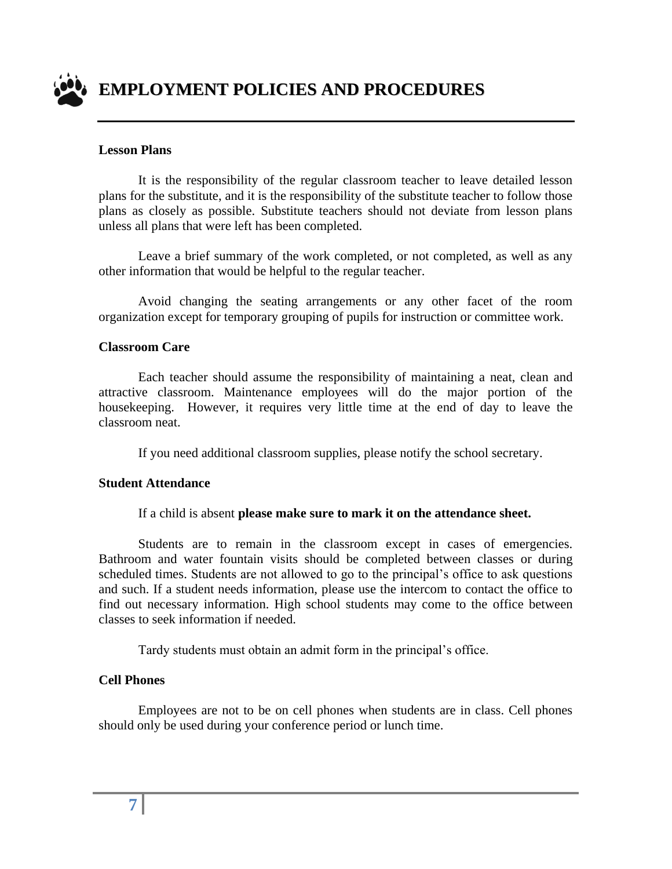

#### **Lesson Plans**

It is the responsibility of the regular classroom teacher to leave detailed lesson plans for the substitute, and it is the responsibility of the substitute teacher to follow those plans as closely as possible. Substitute teachers should not deviate from lesson plans unless all plans that were left has been completed.

Leave a brief summary of the work completed, or not completed, as well as any other information that would be helpful to the regular teacher.

Avoid changing the seating arrangements or any other facet of the room organization except for temporary grouping of pupils for instruction or committee work.

#### **Classroom Care**

Each teacher should assume the responsibility of maintaining a neat, clean and attractive classroom. Maintenance employees will do the major portion of the housekeeping. However, it requires very little time at the end of day to leave the classroom neat.

If you need additional classroom supplies, please notify the school secretary.

#### **Student Attendance**

#### If a child is absent **please make sure to mark it on the attendance sheet.**

Students are to remain in the classroom except in cases of emergencies. Bathroom and water fountain visits should be completed between classes or during scheduled times. Students are not allowed to go to the principal's office to ask questions and such. If a student needs information, please use the intercom to contact the office to find out necessary information. High school students may come to the office between classes to seek information if needed.

Tardy students must obtain an admit form in the principal's office.

#### **Cell Phones**

Employees are not to be on cell phones when students are in class. Cell phones should only be used during your conference period or lunch time.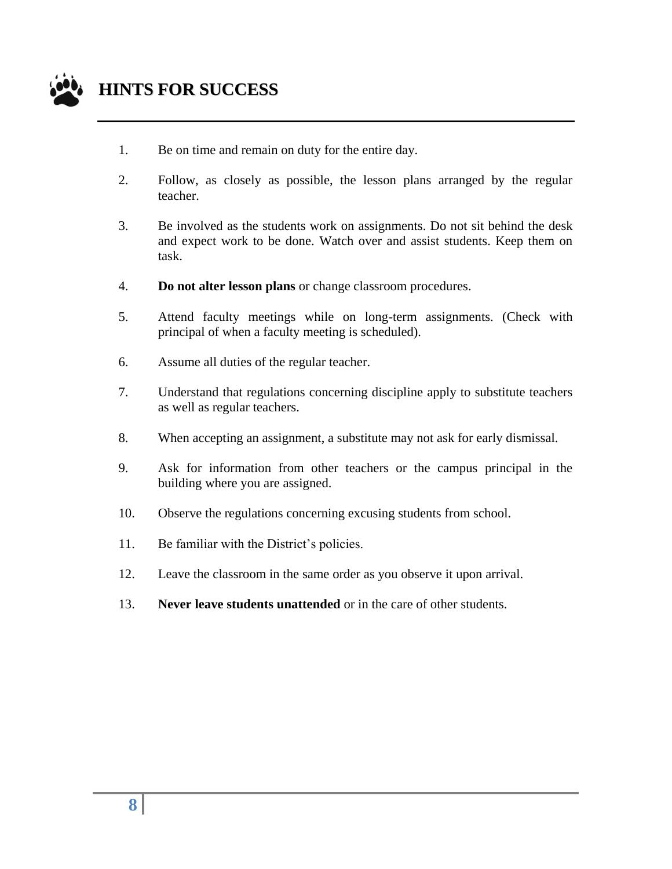

## **HINTS FOR SUCCESS**

- 1. Be on time and remain on duty for the entire day.
- 2. Follow, as closely as possible, the lesson plans arranged by the regular teacher.
- 3. Be involved as the students work on assignments. Do not sit behind the desk and expect work to be done. Watch over and assist students. Keep them on task.
- 4. **Do not alter lesson plans** or change classroom procedures.
- 5. Attend faculty meetings while on long-term assignments. (Check with principal of when a faculty meeting is scheduled).
- 6. Assume all duties of the regular teacher.
- 7. Understand that regulations concerning discipline apply to substitute teachers as well as regular teachers.
- 8. When accepting an assignment, a substitute may not ask for early dismissal.
- 9. Ask for information from other teachers or the campus principal in the building where you are assigned.
- 10. Observe the regulations concerning excusing students from school.
- 11. Be familiar with the District's policies.
- 12. Leave the classroom in the same order as you observe it upon arrival.
- 13. **Never leave students unattended** or in the care of other students.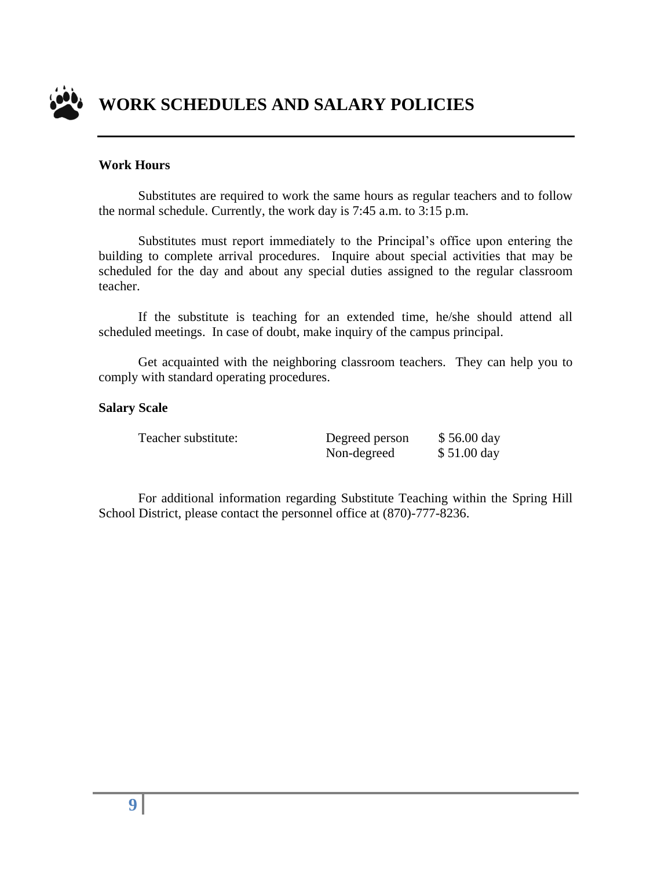

#### **Work Hours**

Substitutes are required to work the same hours as regular teachers and to follow the normal schedule. Currently, the work day is 7:45 a.m. to 3:15 p.m.

Substitutes must report immediately to the Principal's office upon entering the building to complete arrival procedures. Inquire about special activities that may be scheduled for the day and about any special duties assigned to the regular classroom teacher.

If the substitute is teaching for an extended time, he/she should attend all scheduled meetings. In case of doubt, make inquiry of the campus principal.

Get acquainted with the neighboring classroom teachers. They can help you to comply with standard operating procedures.

#### **Salary Scale**

Teacher substitute: Degreed person \$ 56.00 day Non-degreed \$51.00 day

 For additional information regarding Substitute Teaching within the Spring Hill School District, please contact the personnel office at (870)-777-8236.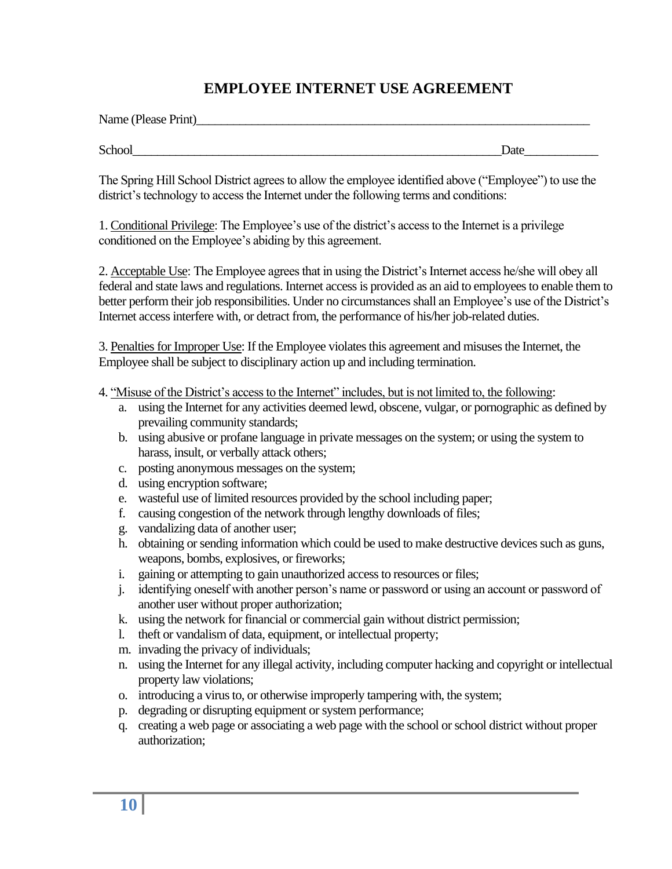#### **EMPLOYEE INTERNET USE AGREEMENT**

| Name (Please Print) |  |
|---------------------|--|
|                     |  |

School\_\_\_\_\_\_\_\_\_\_\_\_\_\_\_\_\_\_\_\_\_\_\_\_\_\_\_\_\_\_\_\_\_\_\_\_\_\_\_\_\_\_\_\_\_\_\_\_\_\_\_\_\_\_\_\_\_\_\_\_Date\_\_\_\_\_\_\_\_\_\_\_\_

The Spring Hill School District agrees to allow the employee identified above ("Employee") to use the district's technology to access the Internet under the following terms and conditions:

1. Conditional Privilege: The Employee's use of the district's access to the Internet is a privilege conditioned on the Employee's abiding by this agreement.

2. Acceptable Use: The Employee agrees that in using the District's Internet access he/she will obey all federal and state laws and regulations. Internet access is provided as an aid to employees to enable them to better perform their job responsibilities. Under no circumstances shall an Employee's use of the District's Internet access interfere with, or detract from, the performance of his/her job-related duties.

3. Penalties for Improper Use: If the Employee violates this agreement and misuses the Internet, the Employee shall be subject to disciplinary action up and including termination.

4. "Misuse of the District's access to the Internet" includes, but is not limited to, the following:

- a. using the Internet for any activities deemed lewd, obscene, vulgar, or pornographic as defined by prevailing community standards;
- b. using abusive or profane language in private messages on the system; or using the system to harass, insult, or verbally attack others;
- c. posting anonymous messages on the system;
- d. using encryption software;
- e. wasteful use of limited resources provided by the school including paper;
- f. causing congestion of the network through lengthy downloads of files;
- g. vandalizing data of another user;
- h. obtaining or sending information which could be used to make destructive devices such as guns, weapons, bombs, explosives, or fireworks;
- i. gaining or attempting to gain unauthorized access to resources or files;
- j. identifying oneself with another person's name or password or using an account or password of another user without proper authorization;
- k. using the network for financial or commercial gain without district permission;
- l. theft or vandalism of data, equipment, or intellectual property;
- m. invading the privacy of individuals;
- n. using the Internet for any illegal activity, including computer hacking and copyright or intellectual property law violations;
- o. introducing a virus to, or otherwise improperly tampering with, the system;
- p. degrading or disrupting equipment or system performance;
- q. creating a web page or associating a web page with the school or school district without proper authorization;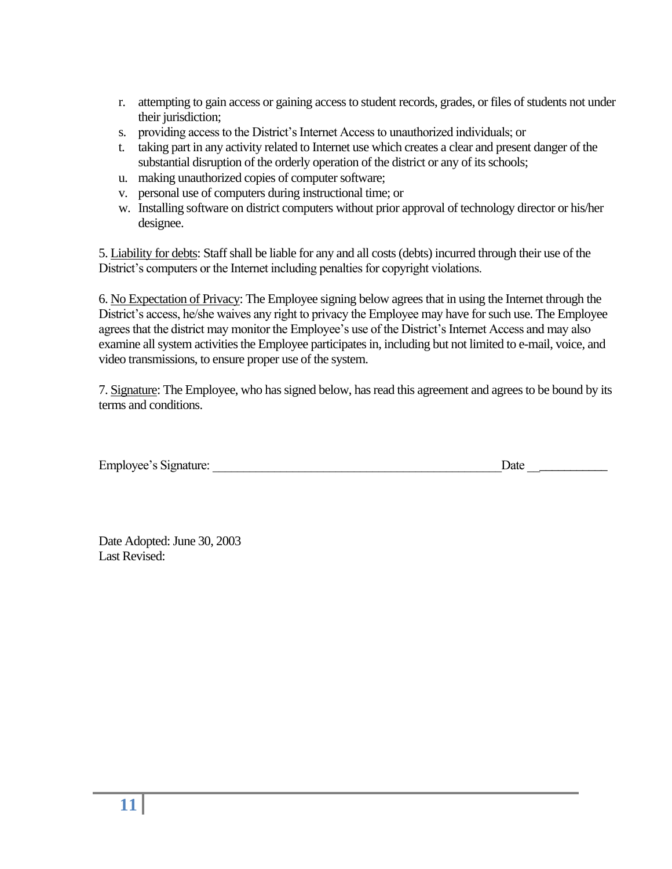- r. attempting to gain access or gaining access to student records, grades, or files of students not under their jurisdiction;
- s. providing access to the District's Internet Access to unauthorized individuals; or
- t. taking part in any activity related to Internet use which creates a clear and present danger of the substantial disruption of the orderly operation of the district or any of its schools;
- u. making unauthorized copies of computer software;
- v. personal use of computers during instructional time; or
- w. Installing software on district computers without prior approval of technology director or his/her designee.

5. Liability for debts: Staff shall be liable for any and all costs (debts) incurred through their use of the District's computers or the Internet including penalties for copyright violations.

6. No Expectation of Privacy: The Employee signing below agrees that in using the Internet through the District's access, he/she waives any right to privacy the Employee may have for such use. The Employee agrees that the district may monitor the Employee's use of the District's Internet Access and may also examine all system activities the Employee participates in, including but not limited to e-mail, voice, and video transmissions, to ensure proper use of the system.

7. Signature: The Employee, who has signed below, has read this agreement and agrees to be bound by its terms and conditions.

| Employee's Signature: | Date |  |
|-----------------------|------|--|
|                       |      |  |
|                       |      |  |

Date Adopted: June 30, 2003 Last Revised: